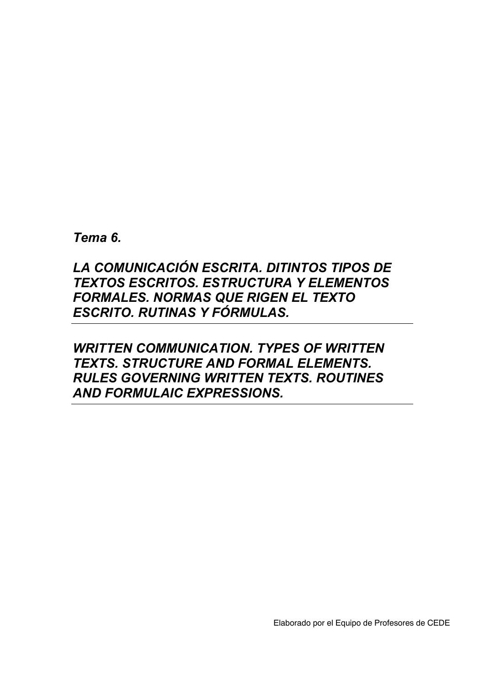*Tema 6.* 

# *LA COMUNICACIÓN ESCRITA. DITINTOS TIPOS DE TEXTOS ESCRITOS. ESTRUCTURA Y ELEMENTOS FORMALES. NORMAS QUE RIGEN EL TEXTO ESCRITO. RUTINAS Y FÓRMULAS.*

# *WRITTEN COMMUNICATION. TYPES OF WRITTEN TEXTS. STRUCTURE AND FORMAL ELEMENTS. RULES GOVERNING WRITTEN TEXTS. ROUTINES AND FORMULAIC EXPRESSIONS.*

Elaborado por el Equipo de Profesores de CEDE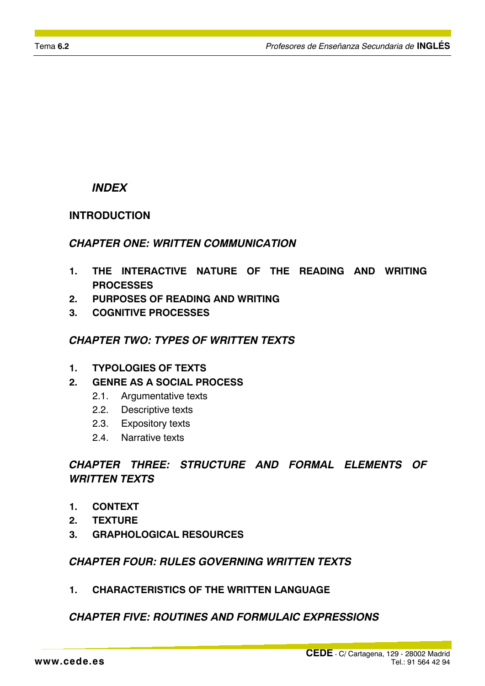#### *INDEX*

#### **INTRODUCTION**

#### *CHAPTER ONE: WRITTEN COMMUNICATION*

- **1. THE INTERACTIVE NATURE OF THE READING AND WRITING PROCESSES**
- **2. PURPOSES OF READING AND WRITING**
- **3. COGNITIVE PROCESSES**

### *CHAPTER TWO: TYPES OF WRITTEN TEXTS*

- **1. TYPOLOGIES OF TEXTS**
- **2. GENRE AS A SOCIAL PROCESS** 
	- 2.1. Argumentative texts
	- 2.2. Descriptive texts
	- 2.3. Expository texts
	- 2.4. Narrative texts

## *CHAPTER THREE: STRUCTURE AND FORMAL ELEMENTS OF WRITTEN TEXTS*

- **1. CONTEXT**
- **2. TEXTURE**
- **3. GRAPHOLOGICAL RESOURCES**

#### *CHAPTER FOUR: RULES GOVERNING WRITTEN TEXTS*

**1. CHARACTERISTICS OF THE WRITTEN LANGUAGE** 

#### *CHAPTER FIVE: ROUTINES AND FORMULAIC EXPRESSIONS*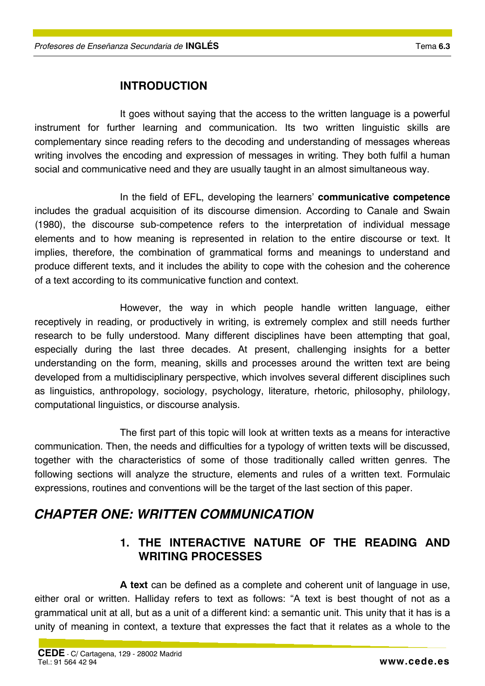## **INTRODUCTION**

It goes without saying that the access to the written language is a powerful instrument for further learning and communication. Its two written linguistic skills are complementary since reading refers to the decoding and understanding of messages whereas writing involves the encoding and expression of messages in writing. They both fulfil a human social and communicative need and they are usually taught in an almost simultaneous way.

In the field of EFL, developing the learners' **communicative competence** includes the gradual acquisition of its discourse dimension. According to Canale and Swain (1980), the discourse sub-competence refers to the interpretation of individual message elements and to how meaning is represented in relation to the entire discourse or text. It implies, therefore, the combination of grammatical forms and meanings to understand and produce different texts, and it includes the ability to cope with the cohesion and the coherence of a text according to its communicative function and context.

However, the way in which people handle written language, either receptively in reading, or productively in writing, is extremely complex and still needs further research to be fully understood. Many different disciplines have been attempting that goal, especially during the last three decades. At present, challenging insights for a better understanding on the form, meaning, skills and processes around the written text are being developed from a multidisciplinary perspective, which involves several different disciplines such as linguistics, anthropology, sociology, psychology, literature, rhetoric, philosophy, philology, computational linguistics, or discourse analysis.

The first part of this topic will look at written texts as a means for interactive communication. Then, the needs and difficulties for a typology of written texts will be discussed, together with the characteristics of some of those traditionally called written genres. The following sections will analyze the structure, elements and rules of a written text. Formulaic expressions, routines and conventions will be the target of the last section of this paper.

# *CHAPTER ONE: WRITTEN COMMUNICATION*

## **1. THE INTERACTIVE NATURE OF THE READING AND WRITING PROCESSES**

**A text** can be defined as a complete and coherent unit of language in use, either oral or written. Halliday refers to text as follows: "A text is best thought of not as a grammatical unit at all, but as a unit of a different kind: a semantic unit. This unity that it has is a unity of meaning in context, a texture that expresses the fact that it relates as a whole to the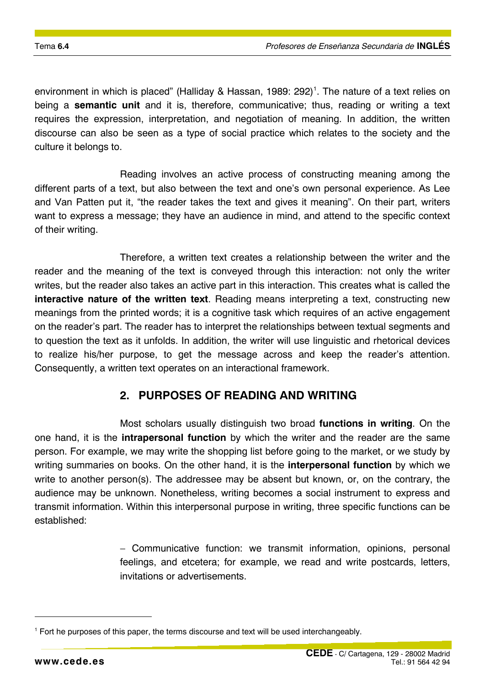environment in which is placed" (Halliday & Hassan, 1989: 292)<sup>1</sup>. The nature of a text relies on being a **semantic unit** and it is, therefore, communicative; thus, reading or writing a text requires the expression, interpretation, and negotiation of meaning. In addition, the written discourse can also be seen as a type of social practice which relates to the society and the culture it belongs to.

Reading involves an active process of constructing meaning among the different parts of a text, but also between the text and one's own personal experience. As Lee and Van Patten put it, "the reader takes the text and gives it meaning". On their part, writers want to express a message; they have an audience in mind, and attend to the specific context of their writing.

Therefore, a written text creates a relationship between the writer and the reader and the meaning of the text is conveyed through this interaction: not only the writer writes, but the reader also takes an active part in this interaction. This creates what is called the **interactive nature of the written text**. Reading means interpreting a text, constructing new meanings from the printed words; it is a cognitive task which requires of an active engagement on the reader's part. The reader has to interpret the relationships between textual segments and to question the text as it unfolds. In addition, the writer will use linguistic and rhetorical devices to realize his/her purpose, to get the message across and keep the reader's attention. Consequently, a written text operates on an interactional framework.

## **2. PURPOSES OF READING AND WRITING**

Most scholars usually distinguish two broad **functions in writing**. On the one hand, it is the **intrapersonal function** by which the writer and the reader are the same person. For example, we may write the shopping list before going to the market, or we study by writing summaries on books. On the other hand, it is the **interpersonal function** by which we write to another person(s). The addressee may be absent but known, or, on the contrary, the audience may be unknown. Nonetheless, writing becomes a social instrument to express and transmit information. Within this interpersonal purpose in writing, three specific functions can be established:

> − Communicative function: we transmit information, opinions, personal feelings, and etcetera; for example, we read and write postcards, letters, invitations or advertisements.

 $\overline{a}$ 

<sup>&</sup>lt;sup>1</sup> Fort he purposes of this paper, the terms discourse and text will be used interchangeably.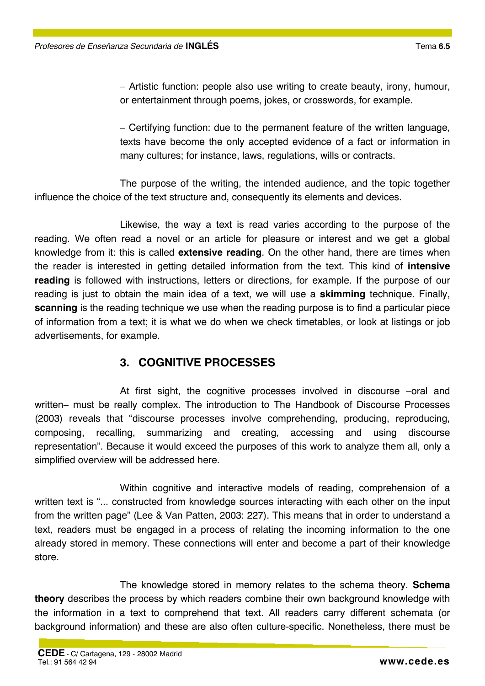− Artistic function: people also use writing to create beauty, irony, humour, or entertainment through poems, jokes, or crosswords, for example.

− Certifying function: due to the permanent feature of the written language, texts have become the only accepted evidence of a fact or information in many cultures; for instance, laws, regulations, wills or contracts.

The purpose of the writing, the intended audience, and the topic together influence the choice of the text structure and, consequently its elements and devices.

Likewise, the way a text is read varies according to the purpose of the reading. We often read a novel or an article for pleasure or interest and we get a global knowledge from it: this is called **extensive reading**. On the other hand, there are times when the reader is interested in getting detailed information from the text. This kind of **intensive reading** is followed with instructions, letters or directions, for example. If the purpose of our reading is just to obtain the main idea of a text, we will use a **skimming** technique. Finally, **scanning** is the reading technique we use when the reading purpose is to find a particular piece of information from a text; it is what we do when we check timetables, or look at listings or job advertisements, for example.

#### **3. COGNITIVE PROCESSES**

At first sight, the cognitive processes involved in discourse −oral and written− must be really complex. The introduction to The Handbook of Discourse Processes (2003) reveals that "discourse processes involve comprehending, producing, reproducing, composing, recalling, summarizing and creating, accessing and using discourse representation". Because it would exceed the purposes of this work to analyze them all, only a simplified overview will be addressed here.

Within cognitive and interactive models of reading, comprehension of a written text is "... constructed from knowledge sources interacting with each other on the input from the written page" (Lee & Van Patten, 2003: 227). This means that in order to understand a text, readers must be engaged in a process of relating the incoming information to the one already stored in memory. These connections will enter and become a part of their knowledge store.

The knowledge stored in memory relates to the schema theory. **Schema theory** describes the process by which readers combine their own background knowledge with the information in a text to comprehend that text. All readers carry different schemata (or background information) and these are also often culture-specific. Nonetheless, there must be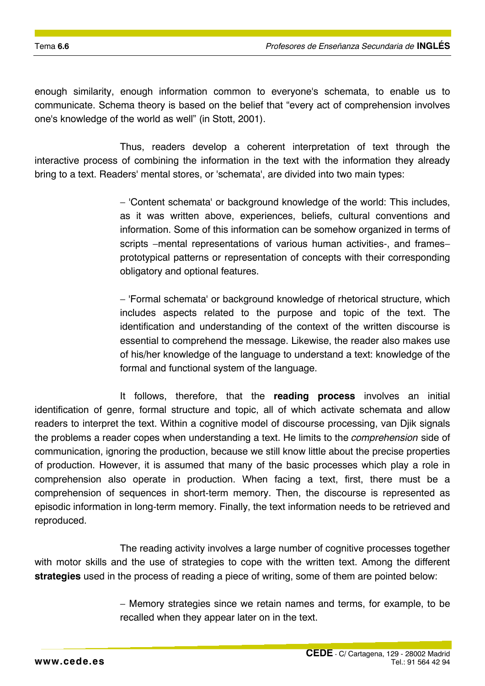enough similarity, enough information common to everyone's schemata, to enable us to communicate. Schema theory is based on the belief that "every act of comprehension involves one's knowledge of the world as well" (in Stott, 2001).

Thus, readers develop a coherent interpretation of text through the interactive process of combining the information in the text with the information they already bring to a text. Readers' mental stores, or 'schemata', are divided into two main types:

> − 'Content schemata' or background knowledge of the world: This includes, as it was written above, experiences, beliefs, cultural conventions and information. Some of this information can be somehow organized in terms of scripts –mental representations of various human activities-, and frames– prototypical patterns or representation of concepts with their corresponding obligatory and optional features.

> − 'Formal schemata' or background knowledge of rhetorical structure, which includes aspects related to the purpose and topic of the text. The identification and understanding of the context of the written discourse is essential to comprehend the message. Likewise, the reader also makes use of his/her knowledge of the language to understand a text: knowledge of the formal and functional system of the language.

It follows, therefore, that the **reading process** involves an initial identification of genre, formal structure and topic, all of which activate schemata and allow readers to interpret the text. Within a cognitive model of discourse processing, van Djik signals the problems a reader copes when understanding a text. He limits to the *comprehension* side of communication, ignoring the production, because we still know little about the precise properties of production. However, it is assumed that many of the basic processes which play a role in comprehension also operate in production. When facing a text, first, there must be a comprehension of sequences in short-term memory. Then, the discourse is represented as episodic information in long-term memory. Finally, the text information needs to be retrieved and reproduced.

The reading activity involves a large number of cognitive processes together with motor skills and the use of strategies to cope with the written text. Among the different **strategies** used in the process of reading a piece of writing, some of them are pointed below:

> − Memory strategies since we retain names and terms, for example, to be recalled when they appear later on in the text.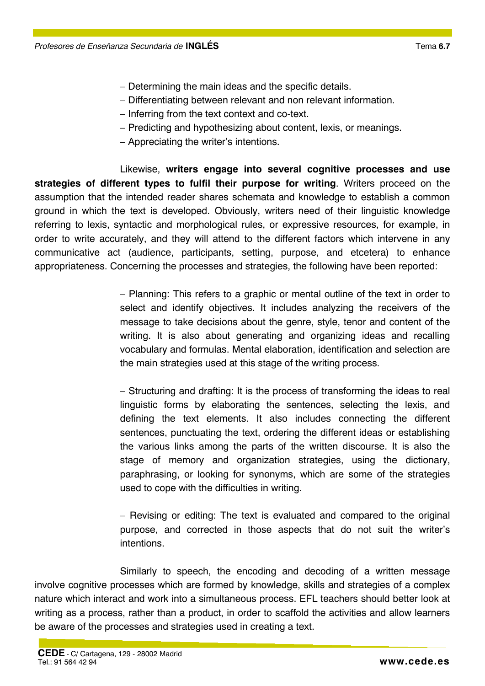- − Determining the main ideas and the specific details.
- − Differentiating between relevant and non relevant information.
- − Inferring from the text context and co-text.
- − Predicting and hypothesizing about content, lexis, or meanings.
- − Appreciating the writer's intentions.

Likewise, **writers engage into several cognitive processes and use strategies of different types to fulfil their purpose for writing**. Writers proceed on the assumption that the intended reader shares schemata and knowledge to establish a common ground in which the text is developed. Obviously, writers need of their linguistic knowledge referring to lexis, syntactic and morphological rules, or expressive resources, for example, in order to write accurately, and they will attend to the different factors which intervene in any communicative act (audience, participants, setting, purpose, and etcetera) to enhance appropriateness. Concerning the processes and strategies, the following have been reported:

> − Planning: This refers to a graphic or mental outline of the text in order to select and identify objectives. It includes analyzing the receivers of the message to take decisions about the genre, style, tenor and content of the writing. It is also about generating and organizing ideas and recalling vocabulary and formulas. Mental elaboration, identification and selection are the main strategies used at this stage of the writing process.

> − Structuring and drafting: It is the process of transforming the ideas to real linguistic forms by elaborating the sentences, selecting the lexis, and defining the text elements. It also includes connecting the different sentences, punctuating the text, ordering the different ideas or establishing the various links among the parts of the written discourse. It is also the stage of memory and organization strategies, using the dictionary, paraphrasing, or looking for synonyms, which are some of the strategies used to cope with the difficulties in writing.

> − Revising or editing: The text is evaluated and compared to the original purpose, and corrected in those aspects that do not suit the writer's intentions.

Similarly to speech, the encoding and decoding of a written message involve cognitive processes which are formed by knowledge, skills and strategies of a complex nature which interact and work into a simultaneous process. EFL teachers should better look at writing as a process, rather than a product, in order to scaffold the activities and allow learners be aware of the processes and strategies used in creating a text.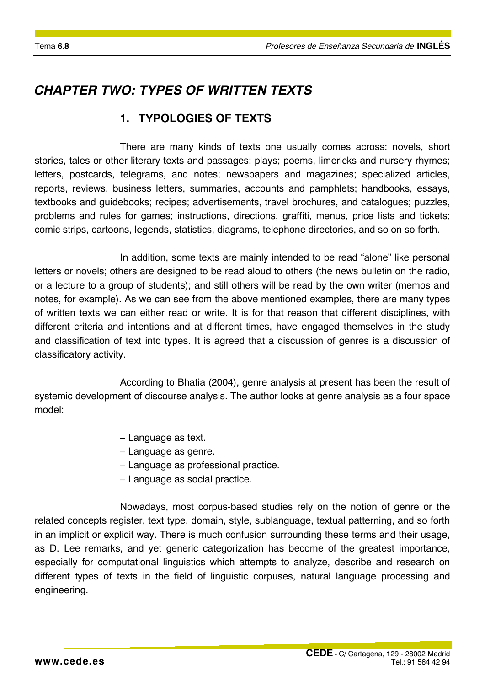# *CHAPTER TWO: TYPES OF WRITTEN TEXTS*

# **1. TYPOLOGIES OF TEXTS**

There are many kinds of texts one usually comes across: novels, short stories, tales or other literary texts and passages; plays; poems, limericks and nursery rhymes; letters, postcards, telegrams, and notes; newspapers and magazines; specialized articles, reports, reviews, business letters, summaries, accounts and pamphlets; handbooks, essays, textbooks and guidebooks; recipes; advertisements, travel brochures, and catalogues; puzzles, problems and rules for games; instructions, directions, graffiti, menus, price lists and tickets; comic strips, cartoons, legends, statistics, diagrams, telephone directories, and so on so forth.

In addition, some texts are mainly intended to be read "alone" like personal letters or novels; others are designed to be read aloud to others (the news bulletin on the radio, or a lecture to a group of students); and still others will be read by the own writer (memos and notes, for example). As we can see from the above mentioned examples, there are many types of written texts we can either read or write. It is for that reason that different disciplines, with different criteria and intentions and at different times, have engaged themselves in the study and classification of text into types. It is agreed that a discussion of genres is a discussion of classificatory activity.

According to Bhatia (2004), genre analysis at present has been the result of systemic development of discourse analysis. The author looks at genre analysis as a four space model:

- − Language as text.
- − Language as genre.
- − Language as professional practice.
- − Language as social practice.

Nowadays, most corpus-based studies rely on the notion of genre or the related concepts register, text type, domain, style, sublanguage, textual patterning, and so forth in an implicit or explicit way. There is much confusion surrounding these terms and their usage, as D. Lee remarks, and yet generic categorization has become of the greatest importance, especially for computational linguistics which attempts to analyze, describe and research on different types of texts in the field of linguistic corpuses, natural language processing and engineering.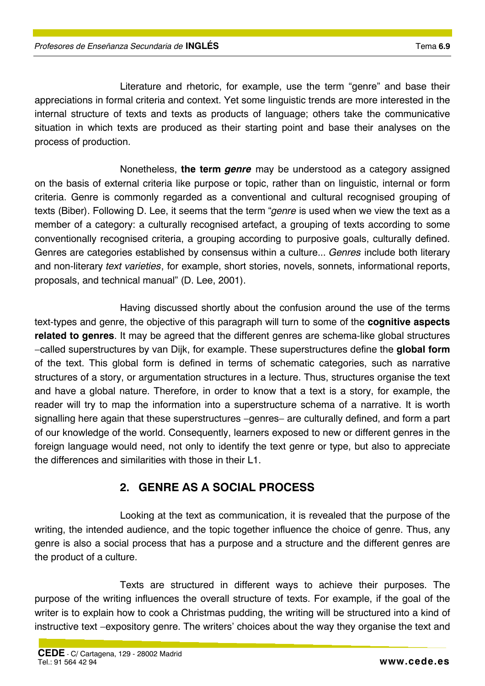Literature and rhetoric, for example, use the term "genre" and base their appreciations in formal criteria and context. Yet some linguistic trends are more interested in the internal structure of texts and texts as products of language; others take the communicative situation in which texts are produced as their starting point and base their analyses on the process of production.

Nonetheless, **the term** *genre* may be understood as a category assigned on the basis of external criteria like purpose or topic, rather than on linguistic, internal or form criteria. Genre is commonly regarded as a conventional and cultural recognised grouping of texts (Biber). Following D. Lee, it seems that the term "*genre* is used when we view the text as a member of a category: a culturally recognised artefact, a grouping of texts according to some conventionally recognised criteria, a grouping according to purposive goals, culturally defined. Genres are categories established by consensus within a culture... *Genres* include both literary and non-literary *text varieties*, for example, short stories, novels, sonnets, informational reports, proposals, and technical manual" (D. Lee, 2001).

Having discussed shortly about the confusion around the use of the terms text-types and genre, the objective of this paragraph will turn to some of the **cognitive aspects related to genres**. It may be agreed that the different genres are schema-like global structures −called superstructures by van Dijk, for example. These superstructures define the **global form** of the text. This global form is defined in terms of schematic categories, such as narrative structures of a story, or argumentation structures in a lecture. Thus, structures organise the text and have a global nature. Therefore, in order to know that a text is a story, for example, the reader will try to map the information into a superstructure schema of a narrative. It is worth signalling here again that these superstructures −genres− are culturally defined, and form a part of our knowledge of the world. Consequently, learners exposed to new or different genres in the foreign language would need, not only to identify the text genre or type, but also to appreciate the differences and similarities with those in their L1.

# **2. GENRE AS A SOCIAL PROCESS**

Looking at the text as communication, it is revealed that the purpose of the writing, the intended audience, and the topic together influence the choice of genre. Thus, any genre is also a social process that has a purpose and a structure and the different genres are the product of a culture.

Texts are structured in different ways to achieve their purposes. The purpose of the writing influences the overall structure of texts. For example, if the goal of the writer is to explain how to cook a Christmas pudding, the writing will be structured into a kind of instructive text −expository genre. The writers' choices about the way they organise the text and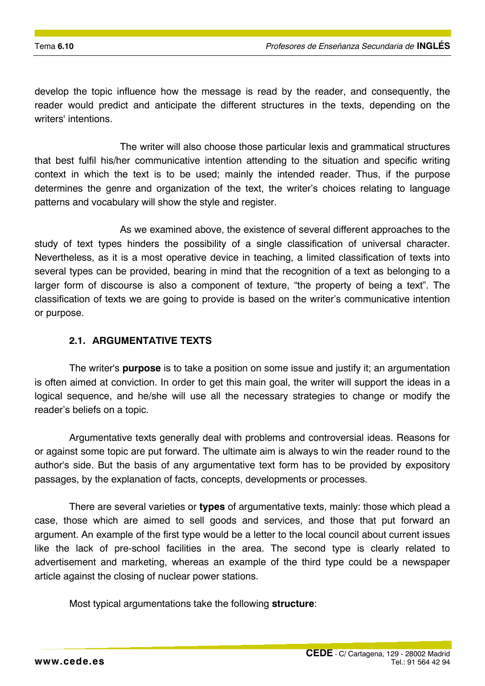develop the topic influence how the message is read by the reader, and consequently, the reader would predict and anticipate the different structures in the texts, depending on the writers' intentions.

The writer will also choose those particular lexis and grammatical structures that best fulfil his/her communicative intention attending to the situation and specific writing context in which the text is to be used; mainly the intended reader. Thus, if the purpose determines the genre and organization of the text, the writer's choices relating to language patterns and vocabulary will show the style and register.

As we examined above, the existence of several different approaches to the study of text types hinders the possibility of a single classification of universal character. Nevertheless, as it is a most operative device in teaching, a limited classification of texts into several types can be provided, bearing in mind that the recognition of a text as belonging to a larger form of discourse is also a component of texture, "the property of being a text". The classification of texts we are going to provide is based on the writer's communicative intention or purpose.

#### **2.1. ARGUMENTATIVE TEXTS**

The writer's **purpose** is to take a position on some issue and justify it; an argumentation is often aimed at conviction. In order to get this main goal, the writer will support the ideas in a logical sequence, and he/she will use all the necessary strategies to change or modify the reader's beliefs on a topic.

Argumentative texts generally deal with problems and controversial ideas. Reasons for or against some topic are put forward. The ultimate aim is always to win the reader round to the author's side. But the basis of any argumentative text form has to be provided by expository passages, by the explanation of facts, concepts, developments or processes.

There are several varieties or **types** of argumentative texts, mainly: those which plead a case, those which are aimed to sell goods and services, and those that put forward an argument. An example of the first type would be a letter to the local council about current issues like the lack of pre-school facilities in the area. The second type is clearly related to advertisement and marketing, whereas an example of the third type could be a newspaper article against the closing of nuclear power stations.

Most typical argumentations take the following **structure**: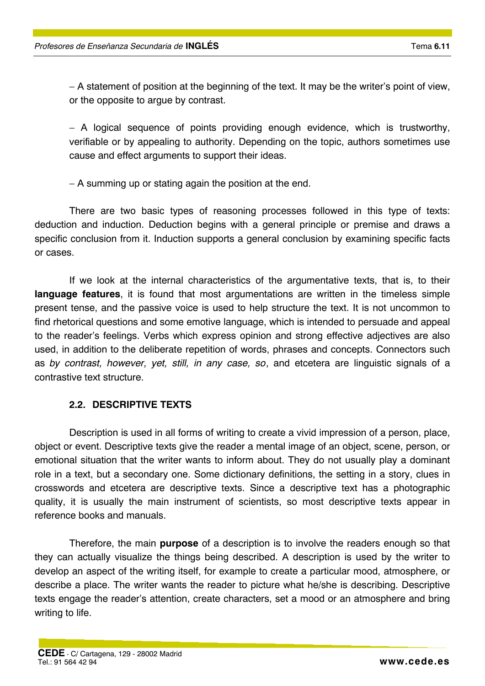− A statement of position at the beginning of the text. It may be the writer's point of view, or the opposite to argue by contrast.

− A logical sequence of points providing enough evidence, which is trustworthy, verifiable or by appealing to authority. Depending on the topic, authors sometimes use cause and effect arguments to support their ideas.

− A summing up or stating again the position at the end.

There are two basic types of reasoning processes followed in this type of texts: deduction and induction. Deduction begins with a general principle or premise and draws a specific conclusion from it. Induction supports a general conclusion by examining specific facts or cases.

If we look at the internal characteristics of the argumentative texts, that is, to their **language features**, it is found that most argumentations are written in the timeless simple present tense, and the passive voice is used to help structure the text. It is not uncommon to find rhetorical questions and some emotive language, which is intended to persuade and appeal to the reader's feelings. Verbs which express opinion and strong effective adjectives are also used, in addition to the deliberate repetition of words, phrases and concepts. Connectors such as *by contrast, however, yet, still, in any case, so*, and etcetera are linguistic signals of a contrastive text structure.

#### **2.2. DESCRIPTIVE TEXTS**

Description is used in all forms of writing to create a vivid impression of a person, place, object or event. Descriptive texts give the reader a mental image of an object, scene, person, or emotional situation that the writer wants to inform about. They do not usually play a dominant role in a text, but a secondary one. Some dictionary definitions, the setting in a story, clues in crosswords and etcetera are descriptive texts. Since a descriptive text has a photographic quality, it is usually the main instrument of scientists, so most descriptive texts appear in reference books and manuals.

Therefore, the main **purpose** of a description is to involve the readers enough so that they can actually visualize the things being described. A description is used by the writer to develop an aspect of the writing itself, for example to create a particular mood, atmosphere, or describe a place. The writer wants the reader to picture what he/she is describing. Descriptive texts engage the reader's attention, create characters, set a mood or an atmosphere and bring writing to life.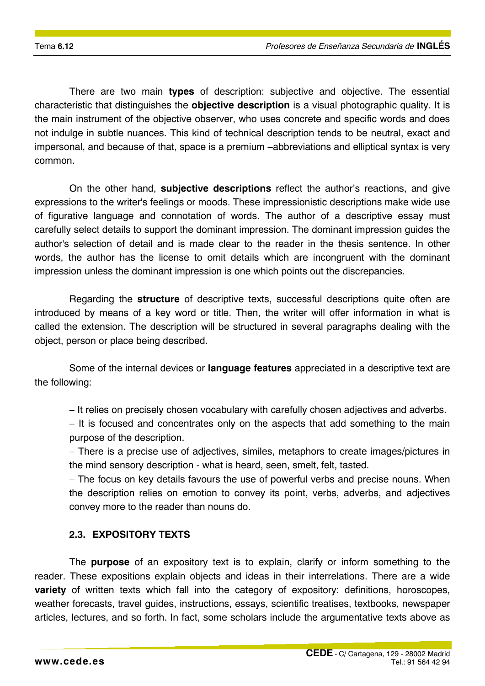There are two main **types** of description: subjective and objective. The essential characteristic that distinguishes the **objective description** is a visual photographic quality. It is the main instrument of the objective observer, who uses concrete and specific words and does not indulge in subtle nuances. This kind of technical description tends to be neutral, exact and impersonal, and because of that, space is a premium −abbreviations and elliptical syntax is very common.

On the other hand, **subjective descriptions** reflect the author's reactions, and give expressions to the writer's feelings or moods. These impressionistic descriptions make wide use of figurative language and connotation of words. The author of a descriptive essay must carefully select details to support the dominant impression. The dominant impression guides the author's selection of detail and is made clear to the reader in the thesis sentence. In other words, the author has the license to omit details which are incongruent with the dominant impression unless the dominant impression is one which points out the discrepancies.

Regarding the **structure** of descriptive texts, successful descriptions quite often are introduced by means of a key word or title. Then, the writer will offer information in what is called the extension. The description will be structured in several paragraphs dealing with the object, person or place being described.

Some of the internal devices or **language features** appreciated in a descriptive text are the following:

− It relies on precisely chosen vocabulary with carefully chosen adjectives and adverbs.

− It is focused and concentrates only on the aspects that add something to the main purpose of the description.

− There is a precise use of adjectives, similes, metaphors to create images/pictures in the mind sensory description - what is heard, seen, smelt, felt, tasted.

− The focus on key details favours the use of powerful verbs and precise nouns. When the description relies on emotion to convey its point, verbs, adverbs, and adjectives convey more to the reader than nouns do.

#### **2.3. EXPOSITORY TEXTS**

The **purpose** of an expository text is to explain, clarify or inform something to the reader. These expositions explain objects and ideas in their interrelations. There are a wide **variety** of written texts which fall into the category of expository: definitions, horoscopes, weather forecasts, travel guides, instructions, essays, scientific treatises, textbooks, newspaper articles, lectures, and so forth. In fact, some scholars include the argumentative texts above as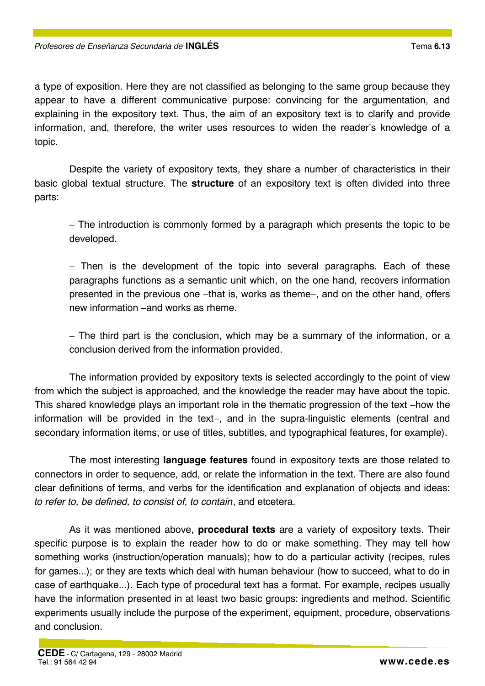a type of exposition. Here they are not classified as belonging to the same group because they appear to have a different communicative purpose: convincing for the argumentation, and explaining in the expository text. Thus, the aim of an expository text is to clarify and provide information, and, therefore, the writer uses resources to widen the reader's knowledge of a topic.

Despite the variety of expository texts, they share a number of characteristics in their basic global textual structure. The **structure** of an expository text is often divided into three parts:

− The introduction is commonly formed by a paragraph which presents the topic to be developed.

− Then is the development of the topic into several paragraphs. Each of these paragraphs functions as a semantic unit which, on the one hand, recovers information presented in the previous one –that is, works as theme–, and on the other hand, offers new information –and works as rheme.

− The third part is the conclusion, which may be a summary of the information, or a conclusion derived from the information provided.

The information provided by expository texts is selected accordingly to the point of view from which the subject is approached, and the knowledge the reader may have about the topic. This shared knowledge plays an important role in the thematic progression of the text –how the information will be provided in the text−, and in the supra-linguistic elements (central and secondary information items, or use of titles, subtitles, and typographical features, for example).

The most interesting **language features** found in expository texts are those related to connectors in order to sequence, add, or relate the information in the text. There are also found clear definitions of terms, and verbs for the identification and explanation of objects and ideas: *to refer to, be defined, to consist of, to contain*, and etcetera.

As it was mentioned above, **procedural texts** are a variety of expository texts. Their specific purpose is to explain the reader how to do or make something. They may tell how something works (instruction/operation manuals); how to do a particular activity (recipes, rules for games...); or they are texts which deal with human behaviour (how to succeed, what to do in case of earthquake...). Each type of procedural text has a format. For example, recipes usually have the information presented in at least two basic groups: ingredients and method. Scientific experiments usually include the purpose of the experiment, equipment, procedure, observations and conclusion.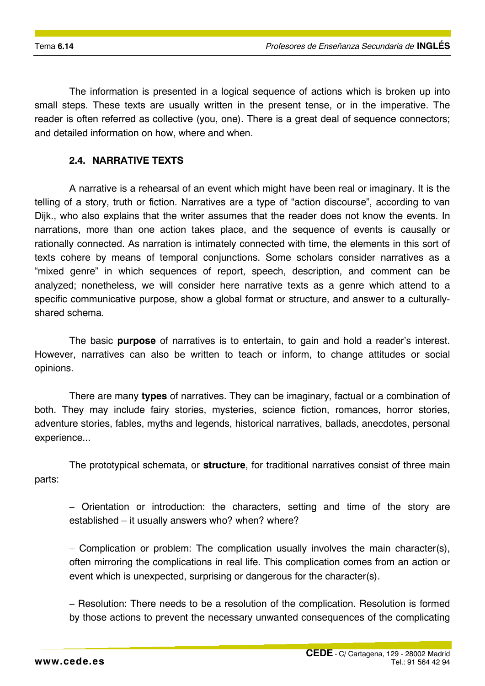The information is presented in a logical sequence of actions which is broken up into small steps. These texts are usually written in the present tense, or in the imperative. The reader is often referred as collective (you, one). There is a great deal of sequence connectors; and detailed information on how, where and when.

#### **2.4. NARRATIVE TEXTS**

A narrative is a rehearsal of an event which might have been real or imaginary. It is the telling of a story, truth or fiction. Narratives are a type of "action discourse", according to van Dijk., who also explains that the writer assumes that the reader does not know the events. In narrations, more than one action takes place, and the sequence of events is causally or rationally connected. As narration is intimately connected with time, the elements in this sort of texts cohere by means of temporal conjunctions. Some scholars consider narratives as a "mixed genre" in which sequences of report, speech, description, and comment can be analyzed; nonetheless, we will consider here narrative texts as a genre which attend to a specific communicative purpose, show a global format or structure, and answer to a culturallyshared schema.

The basic **purpose** of narratives is to entertain, to gain and hold a reader's interest. However, narratives can also be written to teach or inform, to change attitudes or social opinions.

There are many **types** of narratives. They can be imaginary, factual or a combination of both. They may include fairy stories, mysteries, science fiction, romances, horror stories, adventure stories, fables, myths and legends, historical narratives, ballads, anecdotes, personal experience...

The prototypical schemata, or **structure**, for traditional narratives consist of three main parts:

− Orientation or introduction: the characters, setting and time of the story are established – it usually answers who? when? where?

− Complication or problem: The complication usually involves the main character(s), often mirroring the complications in real life. This complication comes from an action or event which is unexpected, surprising or dangerous for the character(s).

− Resolution: There needs to be a resolution of the complication. Resolution is formed by those actions to prevent the necessary unwanted consequences of the complicating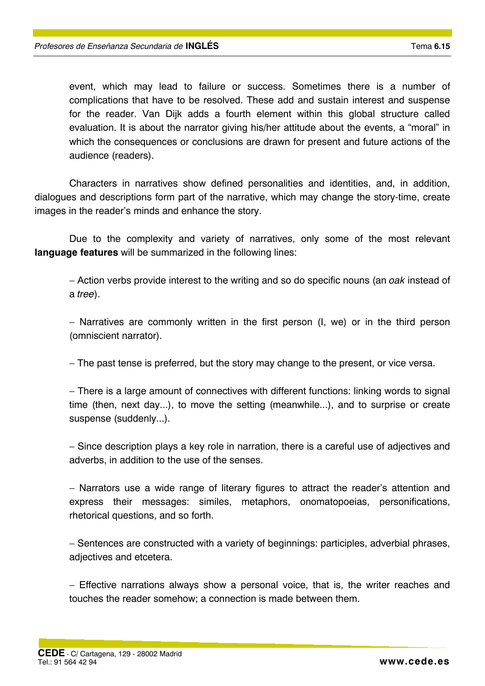event, which may lead to failure or success. Sometimes there is a number of complications that have to be resolved. These add and sustain interest and suspense for the reader. Van Dijk adds a fourth element within this global structure called evaluation. It is about the narrator giving his/her attitude about the events, a "moral" in which the consequences or conclusions are drawn for present and future actions of the audience (readers).

Characters in narratives show defined personalities and identities, and, in addition, dialogues and descriptions form part of the narrative, which may change the story-time, create images in the reader's minds and enhance the story.

Due to the complexity and variety of narratives, only some of the most relevant **language features** will be summarized in the following lines:

− Action verbs provide interest to the writing and so do specific nouns (an *oak* instead of a *tree*).

− Narratives are commonly written in the first person (I, we) or in the third person (omniscient narrator).

− The past tense is preferred, but the story may change to the present, or vice versa.

− There is a large amount of connectives with different functions: linking words to signal time (then, next day...), to move the setting (meanwhile...), and to surprise or create suspense (suddenly...).

− Since description plays a key role in narration, there is a careful use of adjectives and adverbs, in addition to the use of the senses.

− Narrators use a wide range of literary figures to attract the reader's attention and express their messages: similes, metaphors, onomatopoeias, personifications, rhetorical questions, and so forth.

− Sentences are constructed with a variety of beginnings: participles, adverbial phrases, adjectives and etcetera.

− Effective narrations always show a personal voice, that is, the writer reaches and touches the reader somehow; a connection is made between them.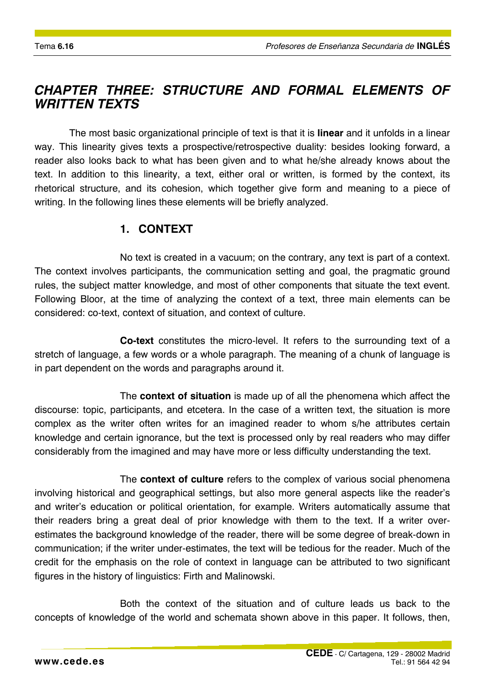# *CHAPTER THREE: STRUCTURE AND FORMAL ELEMENTS OF WRITTEN TEXTS*

The most basic organizational principle of text is that it is **linear** and it unfolds in a linear way. This linearity gives texts a prospective/retrospective duality: besides looking forward, a reader also looks back to what has been given and to what he/she already knows about the text. In addition to this linearity, a text, either oral or written, is formed by the context, its rhetorical structure, and its cohesion, which together give form and meaning to a piece of writing. In the following lines these elements will be briefly analyzed.

### **1. CONTEXT**

No text is created in a vacuum; on the contrary, any text is part of a context. The context involves participants, the communication setting and goal, the pragmatic ground rules, the subject matter knowledge, and most of other components that situate the text event. Following Bloor, at the time of analyzing the context of a text, three main elements can be considered: co-text, context of situation, and context of culture.

**Co-text** constitutes the micro-level. It refers to the surrounding text of a stretch of language, a few words or a whole paragraph. The meaning of a chunk of language is in part dependent on the words and paragraphs around it.

The **context of situation** is made up of all the phenomena which affect the discourse: topic, participants, and etcetera. In the case of a written text, the situation is more complex as the writer often writes for an imagined reader to whom s/he attributes certain knowledge and certain ignorance, but the text is processed only by real readers who may differ considerably from the imagined and may have more or less difficulty understanding the text.

The **context of culture** refers to the complex of various social phenomena involving historical and geographical settings, but also more general aspects like the reader's and writer's education or political orientation, for example. Writers automatically assume that their readers bring a great deal of prior knowledge with them to the text. If a writer overestimates the background knowledge of the reader, there will be some degree of break-down in communication; if the writer under-estimates, the text will be tedious for the reader. Much of the credit for the emphasis on the role of context in language can be attributed to two significant figures in the history of linguistics: Firth and Malinowski.

Both the context of the situation and of culture leads us back to the concepts of knowledge of the world and schemata shown above in this paper. It follows, then,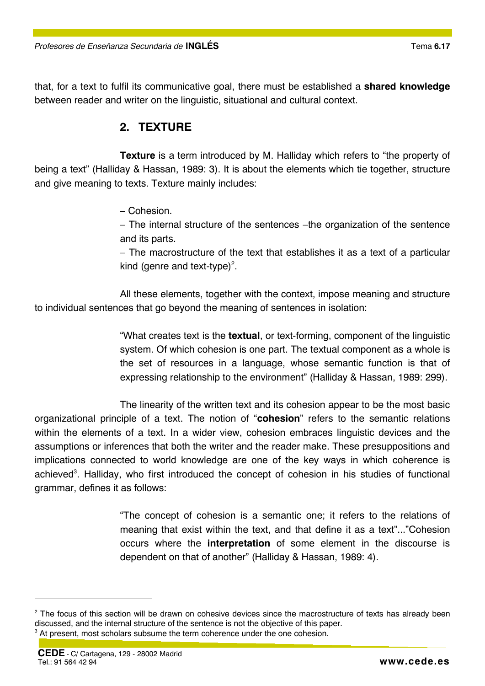that, for a text to fulfil its communicative goal, there must be established a **shared knowledge** between reader and writer on the linguistic, situational and cultural context.

## **2. TEXTURE**

**Texture** is a term introduced by M. Halliday which refers to "the property of being a text" (Halliday & Hassan, 1989: 3). It is about the elements which tie together, structure and give meaning to texts. Texture mainly includes:

− Cohesion.

− The internal structure of the sentences −the organization of the sentence and its parts.

− The macrostructure of the text that establishes it as a text of a particular kind (genre and text-type)<sup>2</sup>.

All these elements, together with the context, impose meaning and structure to individual sentences that go beyond the meaning of sentences in isolation:

> "What creates text is the **textual**, or text-forming, component of the linguistic system. Of which cohesion is one part. The textual component as a whole is the set of resources in a language, whose semantic function is that of expressing relationship to the environment" (Halliday & Hassan, 1989: 299).

The linearity of the written text and its cohesion appear to be the most basic organizational principle of a text. The notion of "**cohesion**" refers to the semantic relations within the elements of a text. In a wider view, cohesion embraces linguistic devices and the assumptions or inferences that both the writer and the reader make. These presuppositions and implications connected to world knowledge are one of the key ways in which coherence is achieved<sup>3</sup>. Halliday, who first introduced the concept of cohesion in his studies of functional grammar, defines it as follows:

> "The concept of cohesion is a semantic one; it refers to the relations of meaning that exist within the text, and that define it as a text"..."Cohesion occurs where the **interpretation** of some element in the discourse is dependent on that of another" (Halliday & Hassan, 1989: 4).

 $\overline{a}$ 

 $2$  The focus of this section will be drawn on cohesive devices since the macrostructure of texts has already been discussed, and the internal structure of the sentence is not the objective of this paper. 3

 $3$  At present, most scholars subsume the term coherence under the one cohesion.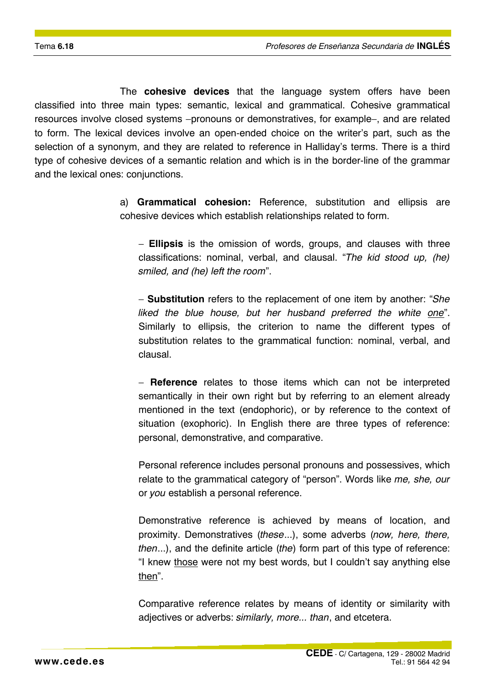The **cohesive devices** that the language system offers have been classified into three main types: semantic, lexical and grammatical. Cohesive grammatical resources involve closed systems −pronouns or demonstratives, for example−, and are related to form. The lexical devices involve an open-ended choice on the writer's part, such as the selection of a synonym, and they are related to reference in Halliday's terms. There is a third type of cohesive devices of a semantic relation and which is in the border-line of the grammar and the lexical ones: conjunctions.

> a) **Grammatical cohesion:** Reference, substitution and ellipsis are cohesive devices which establish relationships related to form.

− **Ellipsis** is the omission of words, groups, and clauses with three classifications: nominal, verbal, and clausal. "*The kid stood up, (he) smiled, and (he) left the room*".

− **Substitution** refers to the replacement of one item by another: "*She liked the blue house, but her husband preferred the white one*". Similarly to ellipsis, the criterion to name the different types of substitution relates to the grammatical function: nominal, verbal, and clausal.

− **Reference** relates to those items which can not be interpreted semantically in their own right but by referring to an element already mentioned in the text (endophoric), or by reference to the context of situation (exophoric). In English there are three types of reference: personal, demonstrative, and comparative.

 Personal reference includes personal pronouns and possessives, which relate to the grammatical category of "person". Words like *me, she, our* or *you* establish a personal reference.

 Demonstrative reference is achieved by means of location, and proximity. Demonstratives (*these*...), some adverbs (*now, here, there, then*...), and the definite article (*the*) form part of this type of reference: "I knew those were not my best words, but I couldn't say anything else then".

 Comparative reference relates by means of identity or similarity with adjectives or adverbs: *similarly, more... than*, and etcetera.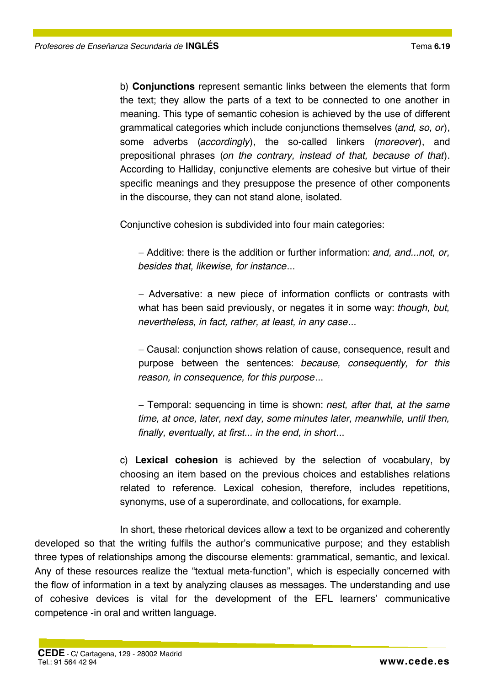b) **Conjunctions** represent semantic links between the elements that form the text; they allow the parts of a text to be connected to one another in meaning. This type of semantic cohesion is achieved by the use of different grammatical categories which include conjunctions themselves (*and, so, or*), some adverbs (*accordingly*), the so-called linkers (*moreover*), and prepositional phrases (*on the contrary, instead of that, because of that*). According to Halliday, conjunctive elements are cohesive but virtue of their specific meanings and they presuppose the presence of other components in the discourse, they can not stand alone, isolated.

Conjunctive cohesion is subdivided into four main categories:

− Additive: there is the addition or further information: *and, and...not, or, besides that, likewise, for instance*...

− Adversative: a new piece of information conflicts or contrasts with what has been said previously, or negates it in some way: *though, but, nevertheless, in fact, rather, at least, in any case*...

− Causal: conjunction shows relation of cause, consequence, result and purpose between the sentences: *because, consequently, for this reason, in consequence, for this purpose*...

− Temporal: sequencing in time is shown: *nest, after that, at the same time, at once, later, next day, some minutes later, meanwhile, until then, finally, eventually, at first... in the end, in short*...

c) **Lexical cohesion** is achieved by the selection of vocabulary, by choosing an item based on the previous choices and establishes relations related to reference. Lexical cohesion, therefore, includes repetitions, synonyms, use of a superordinate, and collocations, for example.

In short, these rhetorical devices allow a text to be organized and coherently developed so that the writing fulfils the author's communicative purpose; and they establish three types of relationships among the discourse elements: grammatical, semantic, and lexical. Any of these resources realize the "textual meta-function", which is especially concerned with the flow of information in a text by analyzing clauses as messages. The understanding and use of cohesive devices is vital for the development of the EFL learners' communicative competence -in oral and written language.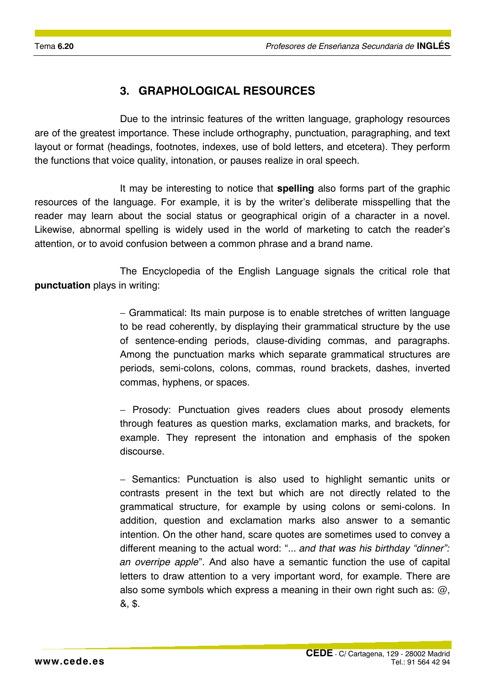## **3. GRAPHOLOGICAL RESOURCES**

Due to the intrinsic features of the written language, graphology resources are of the greatest importance. These include orthography, punctuation, paragraphing, and text layout or format (headings, footnotes, indexes, use of bold letters, and etcetera). They perform the functions that voice quality, intonation, or pauses realize in oral speech.

It may be interesting to notice that **spelling** also forms part of the graphic resources of the language. For example, it is by the writer's deliberate misspelling that the reader may learn about the social status or geographical origin of a character in a novel. Likewise, abnormal spelling is widely used in the world of marketing to catch the reader's attention, or to avoid confusion between a common phrase and a brand name.

The Encyclopedia of the English Language signals the critical role that **punctuation** plays in writing:

> − Grammatical: Its main purpose is to enable stretches of written language to be read coherently, by displaying their grammatical structure by the use of sentence-ending periods, clause-dividing commas, and paragraphs. Among the punctuation marks which separate grammatical structures are periods, semi-colons, colons, commas, round brackets, dashes, inverted commas, hyphens, or spaces.

> − Prosody: Punctuation gives readers clues about prosody elements through features as question marks, exclamation marks, and brackets, for example. They represent the intonation and emphasis of the spoken discourse.

> − Semantics: Punctuation is also used to highlight semantic units or contrasts present in the text but which are not directly related to the grammatical structure, for example by using colons or semi-colons. In addition, question and exclamation marks also answer to a semantic intention. On the other hand, scare quotes are sometimes used to convey a different meaning to the actual word: "... *and that was his birthday "dinner": an overripe apple*". And also have a semantic function the use of capital letters to draw attention to a very important word, for example. There are also some symbols which express a meaning in their own right such as:  $\omega$ , &, \$.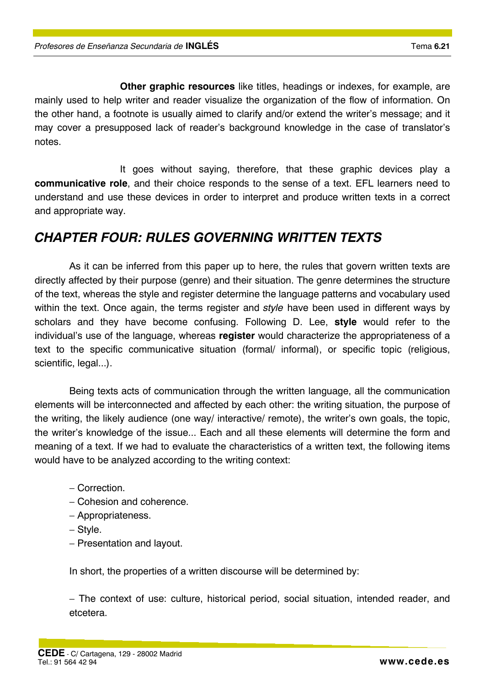**Other graphic resources** like titles, headings or indexes, for example, are mainly used to help writer and reader visualize the organization of the flow of information. On the other hand, a footnote is usually aimed to clarify and/or extend the writer's message; and it may cover a presupposed lack of reader's background knowledge in the case of translator's notes.

It goes without saying, therefore, that these graphic devices play a **communicative role**, and their choice responds to the sense of a text. EFL learners need to understand and use these devices in order to interpret and produce written texts in a correct and appropriate way.

# *CHAPTER FOUR: RULES GOVERNING WRITTEN TEXTS*

As it can be inferred from this paper up to here, the rules that govern written texts are directly affected by their purpose (genre) and their situation. The genre determines the structure of the text, whereas the style and register determine the language patterns and vocabulary used within the text. Once again, the terms register and *style* have been used in different ways by scholars and they have become confusing. Following D. Lee, **style** would refer to the individual's use of the language, whereas **register** would characterize the appropriateness of a text to the specific communicative situation (formal/ informal), or specific topic (religious, scientific, legal...).

Being texts acts of communication through the written language, all the communication elements will be interconnected and affected by each other: the writing situation, the purpose of the writing, the likely audience (one way/ interactive/ remote), the writer's own goals, the topic, the writer's knowledge of the issue... Each and all these elements will determine the form and meaning of a text. If we had to evaluate the characteristics of a written text, the following items would have to be analyzed according to the writing context:

- − Correction.
- − Cohesion and coherence.
- − Appropriateness.
- − Style.
- − Presentation and layout.

In short, the properties of a written discourse will be determined by:

− The context of use: culture, historical period, social situation, intended reader, and etcetera.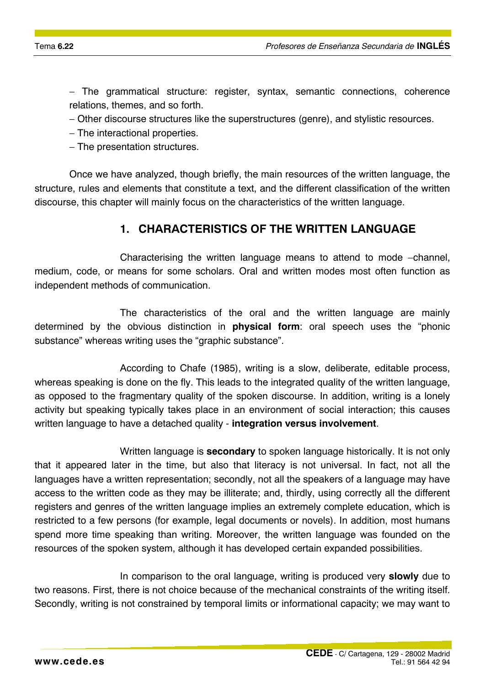− The grammatical structure: register, syntax, semantic connections, coherence relations, themes, and so forth.

- − Other discourse structures like the superstructures (genre), and stylistic resources.
- − The interactional properties.
- − The presentation structures.

Once we have analyzed, though briefly, the main resources of the written language, the structure, rules and elements that constitute a text, and the different classification of the written discourse, this chapter will mainly focus on the characteristics of the written language.

### **1. CHARACTERISTICS OF THE WRITTEN LANGUAGE**

Characterising the written language means to attend to mode −channel, medium, code, or means for some scholars. Oral and written modes most often function as independent methods of communication.

The characteristics of the oral and the written language are mainly determined by the obvious distinction in **physical form**: oral speech uses the "phonic substance" whereas writing uses the "graphic substance".

According to Chafe (1985), writing is a slow, deliberate, editable process, whereas speaking is done on the fly. This leads to the integrated quality of the written language, as opposed to the fragmentary quality of the spoken discourse. In addition, writing is a lonely activity but speaking typically takes place in an environment of social interaction; this causes written language to have a detached quality - **integration versus involvement**.

Written language is **secondary** to spoken language historically. It is not only that it appeared later in the time, but also that literacy is not universal. In fact, not all the languages have a written representation; secondly, not all the speakers of a language may have access to the written code as they may be illiterate; and, thirdly, using correctly all the different registers and genres of the written language implies an extremely complete education, which is restricted to a few persons (for example, legal documents or novels). In addition, most humans spend more time speaking than writing. Moreover, the written language was founded on the resources of the spoken system, although it has developed certain expanded possibilities.

In comparison to the oral language, writing is produced very **slowly** due to two reasons. First, there is not choice because of the mechanical constraints of the writing itself. Secondly, writing is not constrained by temporal limits or informational capacity; we may want to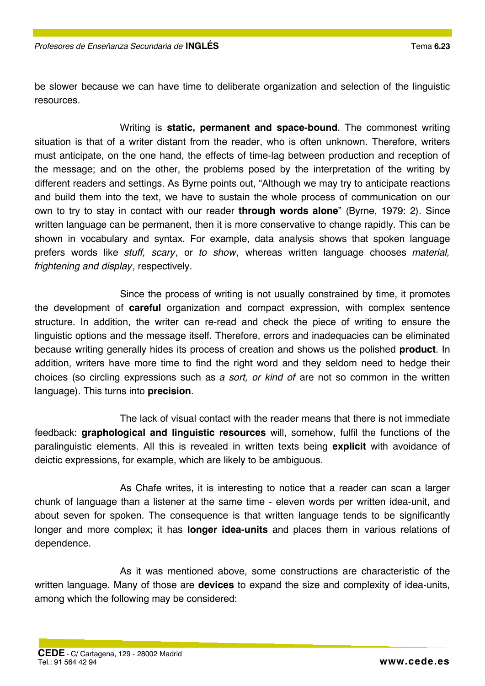be slower because we can have time to deliberate organization and selection of the linguistic resources.

Writing is **static, permanent and space-bound**. The commonest writing situation is that of a writer distant from the reader, who is often unknown. Therefore, writers must anticipate, on the one hand, the effects of time-lag between production and reception of the message; and on the other, the problems posed by the interpretation of the writing by different readers and settings. As Byrne points out, "Although we may try to anticipate reactions and build them into the text, we have to sustain the whole process of communication on our own to try to stay in contact with our reader **through words alone**" (Byrne, 1979: 2). Since written language can be permanent, then it is more conservative to change rapidly. This can be shown in vocabulary and syntax. For example, data analysis shows that spoken language prefers words like *stuff, scary*, or *to show*, whereas written language chooses *material, frightening and display*, respectively.

Since the process of writing is not usually constrained by time, it promotes the development of **careful** organization and compact expression, with complex sentence structure. In addition, the writer can re-read and check the piece of writing to ensure the linguistic options and the message itself. Therefore, errors and inadequacies can be eliminated because writing generally hides its process of creation and shows us the polished **product**. In addition, writers have more time to find the right word and they seldom need to hedge their choices (so circling expressions such as *a sort, or kind of* are not so common in the written language). This turns into **precision**.

The lack of visual contact with the reader means that there is not immediate feedback: **graphological and linguistic resources** will, somehow, fulfil the functions of the paralinguistic elements. All this is revealed in written texts being **explicit** with avoidance of deictic expressions, for example, which are likely to be ambiguous.

As Chafe writes, it is interesting to notice that a reader can scan a larger chunk of language than a listener at the same time - eleven words per written idea-unit, and about seven for spoken. The consequence is that written language tends to be significantly longer and more complex; it has **longer idea-units** and places them in various relations of dependence.

As it was mentioned above, some constructions are characteristic of the written language. Many of those are **devices** to expand the size and complexity of idea-units, among which the following may be considered: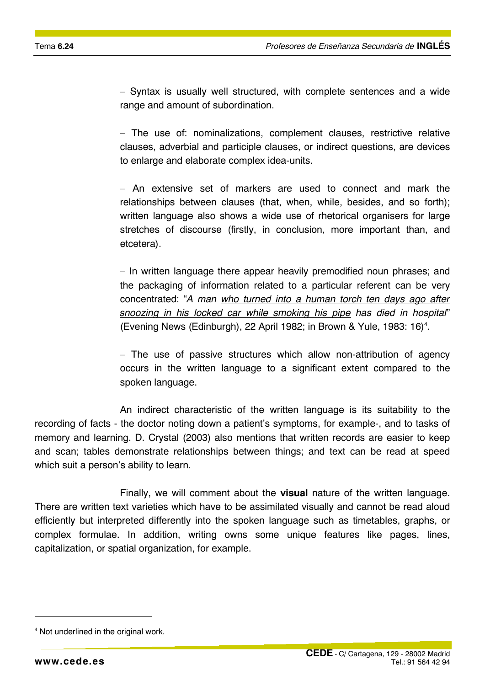− Syntax is usually well structured, with complete sentences and a wide range and amount of subordination.

− The use of: nominalizations, complement clauses, restrictive relative clauses, adverbial and participle clauses, or indirect questions, are devices to enlarge and elaborate complex idea-units.

− An extensive set of markers are used to connect and mark the relationships between clauses (that, when, while, besides, and so forth); written language also shows a wide use of rhetorical organisers for large stretches of discourse (firstly, in conclusion, more important than, and etcetera).

− In written language there appear heavily premodified noun phrases; and the packaging of information related to a particular referent can be very concentrated: "*A man who turned into a human torch ten days ago after snoozing in his locked car while smoking his pipe has died in hospital*" (Evening News (Edinburgh), 22 April 1982; in Brown & Yule, 1983: 16)<sup>4</sup>.

− The use of passive structures which allow non-attribution of agency occurs in the written language to a significant extent compared to the spoken language.

An indirect characteristic of the written language is its suitability to the recording of facts - the doctor noting down a patient's symptoms, for example-, and to tasks of memory and learning. D. Crystal (2003) also mentions that written records are easier to keep and scan; tables demonstrate relationships between things; and text can be read at speed which suit a person's ability to learn.

Finally, we will comment about the **visual** nature of the written language. There are written text varieties which have to be assimilated visually and cannot be read aloud efficiently but interpreted differently into the spoken language such as timetables, graphs, or complex formulae. In addition, writing owns some unique features like pages, lines, capitalization, or spatial organization, for example.

 $\overline{a}$ 

<sup>4</sup> Not underlined in the original work.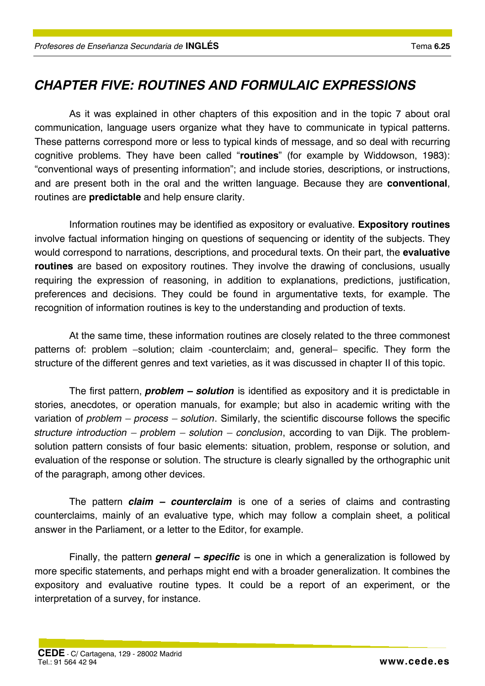# *CHAPTER FIVE: ROUTINES AND FORMULAIC EXPRESSIONS*

As it was explained in other chapters of this exposition and in the topic 7 about oral communication, language users organize what they have to communicate in typical patterns. These patterns correspond more or less to typical kinds of message, and so deal with recurring cognitive problems. They have been called "**routines**" (for example by Widdowson, 1983): "conventional ways of presenting information"; and include stories, descriptions, or instructions, and are present both in the oral and the written language. Because they are **conventional**, routines are **predictable** and help ensure clarity.

Information routines may be identified as expository or evaluative. **Expository routines** involve factual information hinging on questions of sequencing or identity of the subjects. They would correspond to narrations, descriptions, and procedural texts. On their part, the **evaluative routines** are based on expository routines. They involve the drawing of conclusions, usually requiring the expression of reasoning, in addition to explanations, predictions, justification, preferences and decisions. They could be found in argumentative texts, for example. The recognition of information routines is key to the understanding and production of texts.

At the same time, these information routines are closely related to the three commonest patterns of: problem −solution; claim -counterclaim; and, general− specific. They form the structure of the different genres and text varieties, as it was discussed in chapter II of this topic.

The first pattern, *problem – solution* is identified as expository and it is predictable in stories, anecdotes, or operation manuals, for example; but also in academic writing with the variation of *problem – process – solution*. Similarly, the scientific discourse follows the specific *structure introduction – problem – solution – conclusion*, according to van Dijk. The problemsolution pattern consists of four basic elements: situation, problem, response or solution, and evaluation of the response or solution. The structure is clearly signalled by the orthographic unit of the paragraph, among other devices.

The pattern *claim – counterclaim* is one of a series of claims and contrasting counterclaims, mainly of an evaluative type, which may follow a complain sheet, a political answer in the Parliament, or a letter to the Editor, for example.

Finally, the pattern *general – specific* is one in which a generalization is followed by more specific statements, and perhaps might end with a broader generalization. It combines the expository and evaluative routine types. It could be a report of an experiment, or the interpretation of a survey, for instance.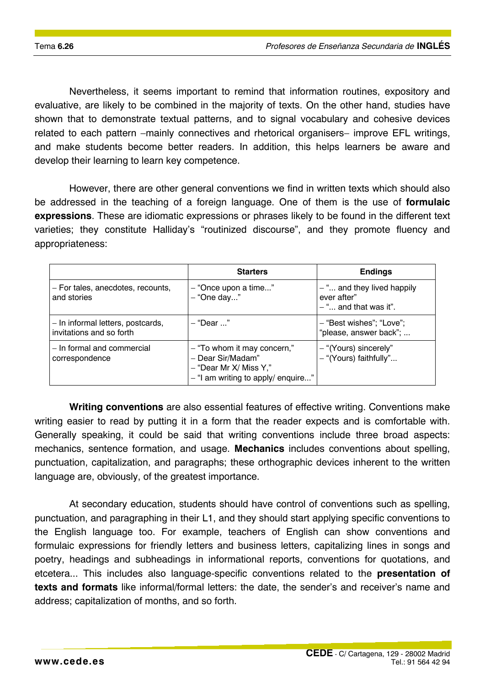Nevertheless, it seems important to remind that information routines, expository and evaluative, are likely to be combined in the majority of texts. On the other hand, studies have shown that to demonstrate textual patterns, and to signal vocabulary and cohesive devices related to each pattern −mainly connectives and rhetorical organisers– improve EFL writings, and make students become better readers. In addition, this helps learners be aware and develop their learning to learn key competence.

However, there are other general conventions we find in written texts which should also be addressed in the teaching of a foreign language. One of them is the use of **formulaic expressions**. These are idiomatic expressions or phrases likely to be found in the different text varieties; they constitute Halliday's "routinized discourse", and they promote fluency and appropriateness:

|                                                               | <b>Starters</b>                                                                                                      | <b>Endings</b>                                                         |
|---------------------------------------------------------------|----------------------------------------------------------------------------------------------------------------------|------------------------------------------------------------------------|
| - For tales, anecdotes, recounts,<br>and stories              | - "Once upon a time"<br>- "One day"                                                                                  | $-$ " and they lived happily<br>ever after"<br>$-$ " and that was it". |
| - In informal letters, postcards,<br>invitations and so forth | - "Dear"                                                                                                             | - "Best wishes"; "Love";<br>"please, answer back";                     |
| - In formal and commercial<br>correspondence                  | - "To whom it may concern,"<br>- Dear Sir/Madam"<br>$-$ "Dear Mr X/ Miss Y,"<br>$-$ "I am writing to apply/ enquire" | - "(Yours) sincerely"<br>- "(Yours) faithfully"                        |

**Writing conventions** are also essential features of effective writing. Conventions make writing easier to read by putting it in a form that the reader expects and is comfortable with. Generally speaking, it could be said that writing conventions include three broad aspects: mechanics, sentence formation, and usage. **Mechanics** includes conventions about spelling, punctuation, capitalization, and paragraphs; these orthographic devices inherent to the written language are, obviously, of the greatest importance.

At secondary education, students should have control of conventions such as spelling, punctuation, and paragraphing in their L1, and they should start applying specific conventions to the English language too. For example, teachers of English can show conventions and formulaic expressions for friendly letters and business letters, capitalizing lines in songs and poetry, headings and subheadings in informational reports, conventions for quotations, and etcetera... This includes also language-specific conventions related to the **presentation of texts and formats** like informal/formal letters: the date, the sender's and receiver's name and address; capitalization of months, and so forth.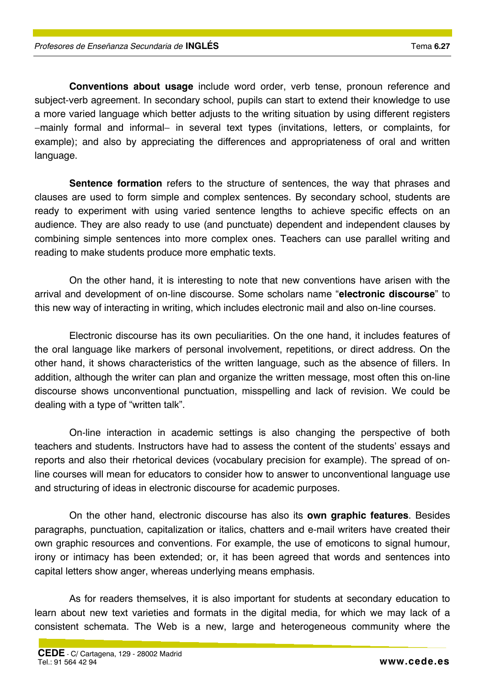language.

dealing with a type of "written talk". On-line interaction in academic settings is also changing the perspective of both

teachers and students. Instructors have had to assess the content of the students' essays and reports and also their rhetorical devices (vocabulary precision for example). The spread of online courses will mean for educators to consider how to answer to unconventional language use and structuring of ideas in electronic discourse for academic purposes.

**Conventions about usage** include word order, verb tense, pronoun reference and

**Sentence formation** refers to the structure of sentences, the way that phrases and

On the other hand, it is interesting to note that new conventions have arisen with the

Electronic discourse has its own peculiarities. On the one hand, it includes features of

subject-verb agreement. In secondary school, pupils can start to extend their knowledge to use a more varied language which better adjusts to the writing situation by using different registers −mainly formal and informal− in several text types (invitations, letters, or complaints, for example); and also by appreciating the differences and appropriateness of oral and written

clauses are used to form simple and complex sentences. By secondary school, students are ready to experiment with using varied sentence lengths to achieve specific effects on an audience. They are also ready to use (and punctuate) dependent and independent clauses by combining simple sentences into more complex ones. Teachers can use parallel writing and

arrival and development of on-line discourse. Some scholars name "**electronic discourse**" to this new way of interacting in writing, which includes electronic mail and also on-line courses.

the oral language like markers of personal involvement, repetitions, or direct address. On the other hand, it shows characteristics of the written language, such as the absence of fillers. In addition, although the writer can plan and organize the written message, most often this on-line discourse shows unconventional punctuation, misspelling and lack of revision. We could be

On the other hand, electronic discourse has also its **own graphic features**. Besides paragraphs, punctuation, capitalization or italics, chatters and e-mail writers have created their own graphic resources and conventions. For example, the use of emoticons to signal humour, irony or intimacy has been extended; or, it has been agreed that words and sentences into capital letters show anger, whereas underlying means emphasis.

As for readers themselves, it is also important for students at secondary education to learn about new text varieties and formats in the digital media, for which we may lack of a consistent schemata. The Web is a new, large and heterogeneous community where the

reading to make students produce more emphatic texts.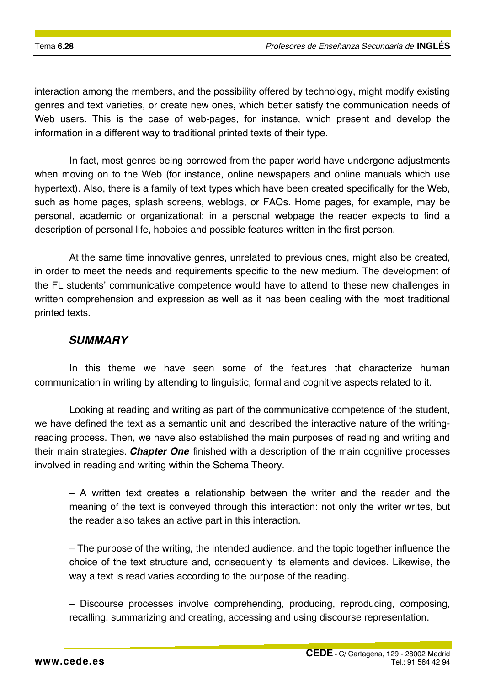interaction among the members, and the possibility offered by technology, might modify existing genres and text varieties, or create new ones, which better satisfy the communication needs of Web users. This is the case of web-pages, for instance, which present and develop the information in a different way to traditional printed texts of their type.

In fact, most genres being borrowed from the paper world have undergone adjustments when moving on to the Web (for instance, online newspapers and online manuals which use hypertext). Also, there is a family of text types which have been created specifically for the Web, such as home pages, splash screens, weblogs, or FAQs. Home pages, for example, may be personal, academic or organizational; in a personal webpage the reader expects to find a description of personal life, hobbies and possible features written in the first person.

At the same time innovative genres, unrelated to previous ones, might also be created, in order to meet the needs and requirements specific to the new medium. The development of the FL students' communicative competence would have to attend to these new challenges in written comprehension and expression as well as it has been dealing with the most traditional printed texts.

#### *SUMMARY*

In this theme we have seen some of the features that characterize human communication in writing by attending to linguistic, formal and cognitive aspects related to it.

Looking at reading and writing as part of the communicative competence of the student, we have defined the text as a semantic unit and described the interactive nature of the writingreading process. Then, we have also established the main purposes of reading and writing and their main strategies. *Chapter One* finished with a description of the main cognitive processes involved in reading and writing within the Schema Theory.

− A written text creates a relationship between the writer and the reader and the meaning of the text is conveyed through this interaction: not only the writer writes, but the reader also takes an active part in this interaction.

− The purpose of the writing, the intended audience, and the topic together influence the choice of the text structure and, consequently its elements and devices. Likewise, the way a text is read varies according to the purpose of the reading.

− Discourse processes involve comprehending, producing, reproducing, composing, recalling, summarizing and creating, accessing and using discourse representation.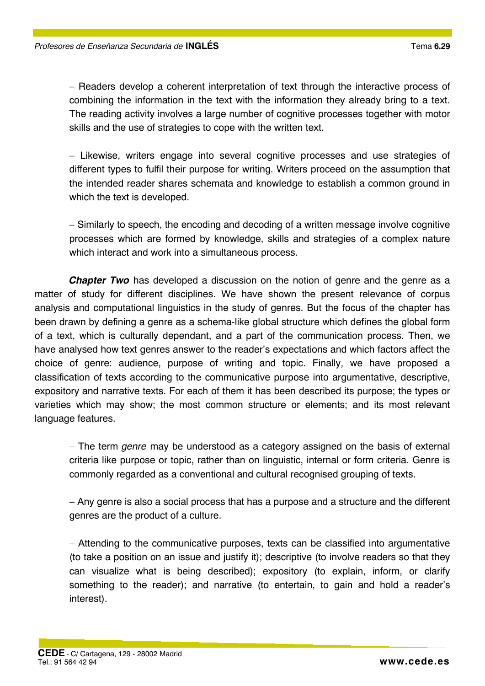− Readers develop a coherent interpretation of text through the interactive process of combining the information in the text with the information they already bring to a text. The reading activity involves a large number of cognitive processes together with motor skills and the use of strategies to cope with the written text.

− Likewise, writers engage into several cognitive processes and use strategies of different types to fulfil their purpose for writing. Writers proceed on the assumption that the intended reader shares schemata and knowledge to establish a common ground in which the text is developed.

− Similarly to speech, the encoding and decoding of a written message involve cognitive processes which are formed by knowledge, skills and strategies of a complex nature which interact and work into a simultaneous process.

*Chapter Two* has developed a discussion on the notion of genre and the genre as a matter of study for different disciplines. We have shown the present relevance of corpus analysis and computational linguistics in the study of genres. But the focus of the chapter has been drawn by defining a genre as a schema-like global structure which defines the global form of a text, which is culturally dependant, and a part of the communication process. Then, we have analysed how text genres answer to the reader's expectations and which factors affect the choice of genre: audience, purpose of writing and topic. Finally, we have proposed a classification of texts according to the communicative purpose into argumentative, descriptive, expository and narrative texts. For each of them it has been described its purpose; the types or varieties which may show; the most common structure or elements; and its most relevant language features.

− The term *genre* may be understood as a category assigned on the basis of external criteria like purpose or topic, rather than on linguistic, internal or form criteria. Genre is commonly regarded as a conventional and cultural recognised grouping of texts.

− Any genre is also a social process that has a purpose and a structure and the different genres are the product of a culture.

− Attending to the communicative purposes, texts can be classified into argumentative (to take a position on an issue and justify it); descriptive (to involve readers so that they can visualize what is being described); expository (to explain, inform, or clarify something to the reader); and narrative (to entertain, to gain and hold a reader's interest).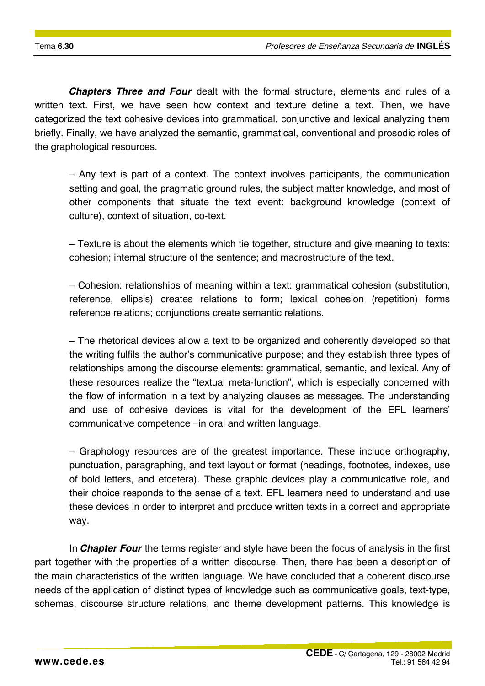*Chapters Three and Four* dealt with the formal structure, elements and rules of a written text. First, we have seen how context and texture define a text. Then, we have categorized the text cohesive devices into grammatical, conjunctive and lexical analyzing them briefly. Finally, we have analyzed the semantic, grammatical, conventional and prosodic roles of the graphological resources.

− Any text is part of a context. The context involves participants, the communication setting and goal, the pragmatic ground rules, the subject matter knowledge, and most of other components that situate the text event: background knowledge (context of culture), context of situation, co-text.

− Texture is about the elements which tie together, structure and give meaning to texts: cohesion; internal structure of the sentence; and macrostructure of the text.

− Cohesion: relationships of meaning within a text: grammatical cohesion (substitution, reference, ellipsis) creates relations to form; lexical cohesion (repetition) forms reference relations; conjunctions create semantic relations.

− The rhetorical devices allow a text to be organized and coherently developed so that the writing fulfils the author's communicative purpose; and they establish three types of relationships among the discourse elements: grammatical, semantic, and lexical. Any of these resources realize the "textual meta-function", which is especially concerned with the flow of information in a text by analyzing clauses as messages. The understanding and use of cohesive devices is vital for the development of the EFL learners' communicative competence −in oral and written language.

− Graphology resources are of the greatest importance. These include orthography, punctuation, paragraphing, and text layout or format (headings, footnotes, indexes, use of bold letters, and etcetera). These graphic devices play a communicative role, and their choice responds to the sense of a text. EFL learners need to understand and use these devices in order to interpret and produce written texts in a correct and appropriate way.

In *Chapter Four* the terms register and style have been the focus of analysis in the first part together with the properties of a written discourse. Then, there has been a description of the main characteristics of the written language. We have concluded that a coherent discourse needs of the application of distinct types of knowledge such as communicative goals, text-type, schemas, discourse structure relations, and theme development patterns. This knowledge is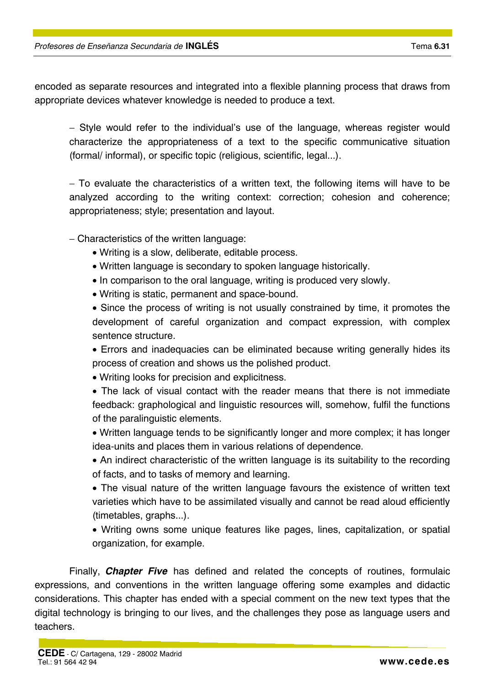encoded as separate resources and integrated into a flexible planning process that draws from appropriate devices whatever knowledge is needed to produce a text.

− Style would refer to the individual's use of the language, whereas register would characterize the appropriateness of a text to the specific communicative situation (formal/ informal), or specific topic (religious, scientific, legal...).

− To evaluate the characteristics of a written text, the following items will have to be analyzed according to the writing context: correction; cohesion and coherence; appropriateness; style; presentation and layout.

− Characteristics of the written language:

- Writing is a slow, deliberate, editable process.
- Written language is secondary to spoken language historically.
- In comparison to the oral language, writing is produced very slowly.
- Writing is static, permanent and space-bound.

• Since the process of writing is not usually constrained by time, it promotes the development of careful organization and compact expression, with complex sentence structure.

• Errors and inadequacies can be eliminated because writing generally hides its process of creation and shows us the polished product.

• Writing looks for precision and explicitness.

• The lack of visual contact with the reader means that there is not immediate feedback: graphological and linguistic resources will, somehow, fulfil the functions of the paralinguistic elements.

• Written language tends to be significantly longer and more complex; it has longer idea-units and places them in various relations of dependence.

• An indirect characteristic of the written language is its suitability to the recording of facts, and to tasks of memory and learning.

• The visual nature of the written language favours the existence of written text varieties which have to be assimilated visually and cannot be read aloud efficiently (timetables, graphs...).

• Writing owns some unique features like pages, lines, capitalization, or spatial organization, for example.

Finally, *Chapter Five* has defined and related the concepts of routines, formulaic expressions, and conventions in the written language offering some examples and didactic considerations. This chapter has ended with a special comment on the new text types that the digital technology is bringing to our lives, and the challenges they pose as language users and teachers.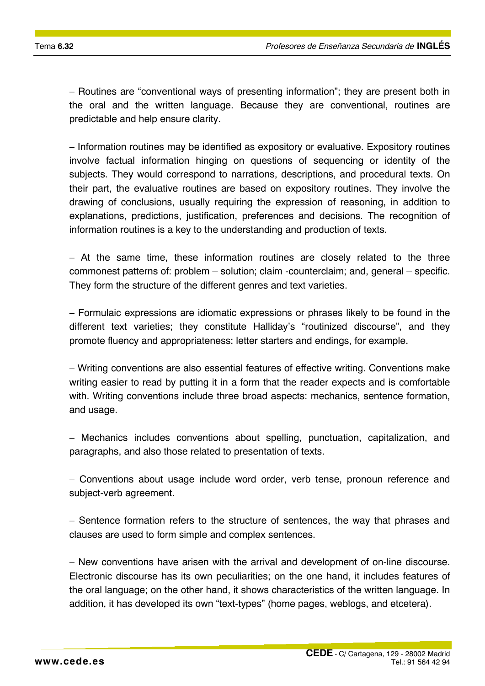− Routines are "conventional ways of presenting information"; they are present both in the oral and the written language. Because they are conventional, routines are predictable and help ensure clarity.

− Information routines may be identified as expository or evaluative. Expository routines involve factual information hinging on questions of sequencing or identity of the subjects. They would correspond to narrations, descriptions, and procedural texts. On their part, the evaluative routines are based on expository routines. They involve the drawing of conclusions, usually requiring the expression of reasoning, in addition to explanations, predictions, justification, preferences and decisions. The recognition of information routines is a key to the understanding and production of texts.

− At the same time, these information routines are closely related to the three commonest patterns of: problem – solution; claim -counterclaim; and, general – specific. They form the structure of the different genres and text varieties.

− Formulaic expressions are idiomatic expressions or phrases likely to be found in the different text varieties; they constitute Halliday's "routinized discourse", and they promote fluency and appropriateness: letter starters and endings, for example.

− Writing conventions are also essential features of effective writing. Conventions make writing easier to read by putting it in a form that the reader expects and is comfortable with. Writing conventions include three broad aspects: mechanics, sentence formation, and usage.

− Mechanics includes conventions about spelling, punctuation, capitalization, and paragraphs, and also those related to presentation of texts.

− Conventions about usage include word order, verb tense, pronoun reference and subject-verb agreement.

− Sentence formation refers to the structure of sentences, the way that phrases and clauses are used to form simple and complex sentences.

− New conventions have arisen with the arrival and development of on-line discourse. Electronic discourse has its own peculiarities; on the one hand, it includes features of the oral language; on the other hand, it shows characteristics of the written language. In addition, it has developed its own "text-types" (home pages, weblogs, and etcetera).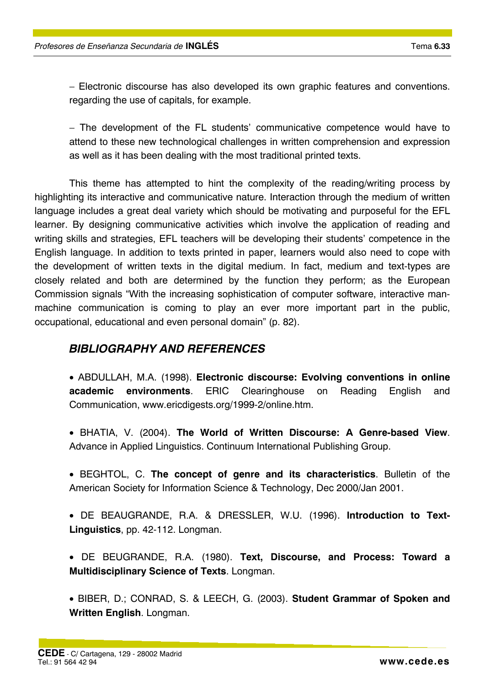− Electronic discourse has also developed its own graphic features and conventions. regarding the use of capitals, for example.

− The development of the FL students' communicative competence would have to attend to these new technological challenges in written comprehension and expression as well as it has been dealing with the most traditional printed texts.

This theme has attempted to hint the complexity of the reading/writing process by highlighting its interactive and communicative nature. Interaction through the medium of written language includes a great deal variety which should be motivating and purposeful for the EFL learner. By designing communicative activities which involve the application of reading and writing skills and strategies, EFL teachers will be developing their students' competence in the English language. In addition to texts printed in paper, learners would also need to cope with the development of written texts in the digital medium. In fact, medium and text-types are closely related and both are determined by the function they perform; as the European Commission signals "With the increasing sophistication of computer software, interactive manmachine communication is coming to play an ever more important part in the public, occupational, educational and even personal domain" (p. 82).

### *BIBLIOGRAPHY AND REFERENCES*

• ABDULLAH, M.A. (1998). **Electronic discourse: Evolving conventions in online academic environments**. ERIC Clearinghouse on Reading English and Communication, www.ericdigests.org/1999-2/online.htm.

- BHATIA, V. (2004). **The World of Written Discourse: A Genre-based View**. Advance in Applied Linguistics. Continuum International Publishing Group.
- BEGHTOL, C. **The concept of genre and its characteristics**. Bulletin of the American Society for Information Science & Technology, Dec 2000/Jan 2001.
- DE BEAUGRANDE, R.A. & DRESSLER, W.U. (1996). **Introduction to Text-Linguistics**, pp. 42-112. Longman.
- DE BEUGRANDE, R.A. (1980). **Text, Discourse, and Process: Toward a Multidisciplinary Science of Texts**. Longman.
- BIBER, D.; CONRAD, S. & LEECH, G. (2003). **Student Grammar of Spoken and Written English**. Longman.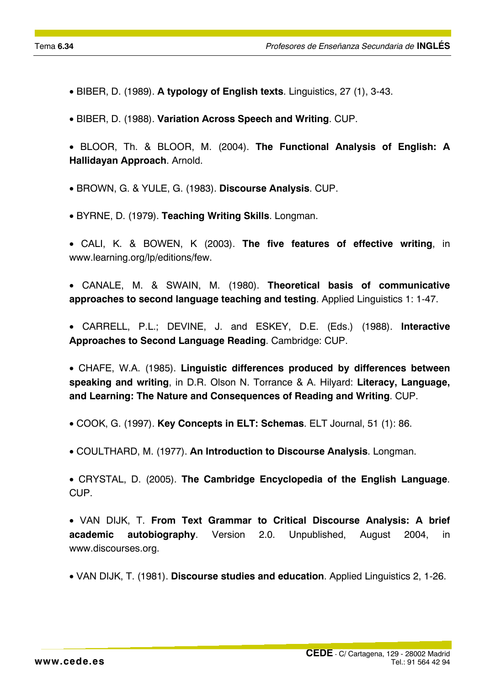- BIBER, D. (1989). **A typology of English texts**. Linguistics, 27 (1), 3-43.
- BIBER, D. (1988). **Variation Across Speech and Writing**. CUP.
- BLOOR, Th. & BLOOR, M. (2004). **The Functional Analysis of English: A Hallidayan Approach**. Arnold.
- BROWN, G. & YULE, G. (1983). **Discourse Analysis**. CUP.
- BYRNE, D. (1979). **Teaching Writing Skills**. Longman.
- CALI, K. & BOWEN, K (2003). **The five features of effective writing**, in www.learning.org/lp/editions/few.
- CANALE, M. & SWAIN, M. (1980). **Theoretical basis of communicative approaches to second language teaching and testing**. Applied Linguistics 1: 1-47.
- CARRELL, P.L.; DEVINE, J. and ESKEY, D.E. (Eds.) (1988). **Interactive Approaches to Second Language Reading**. Cambridge: CUP.

• CHAFE, W.A. (1985). **Linguistic differences produced by differences between speaking and writing**, in D.R. Olson N. Torrance & A. Hilyard: **Literacy, Language, and Learning: The Nature and Consequences of Reading and Writing**. CUP.

- COOK, G. (1997). **Key Concepts in ELT: Schemas**. ELT Journal, 51 (1): 86.
- COULTHARD, M. (1977). **An Introduction to Discourse Analysis**. Longman.
- CRYSTAL, D. (2005). **The Cambridge Encyclopedia of the English Language**. CUP.
- VAN DIJK, T. **From Text Grammar to Critical Discourse Analysis: A brief academic autobiography**. Version 2.0. Unpublished, August 2004, in www.discourses.org.
- VAN DIJK, T. (1981). **Discourse studies and education**. Applied Linguistics 2, 1-26.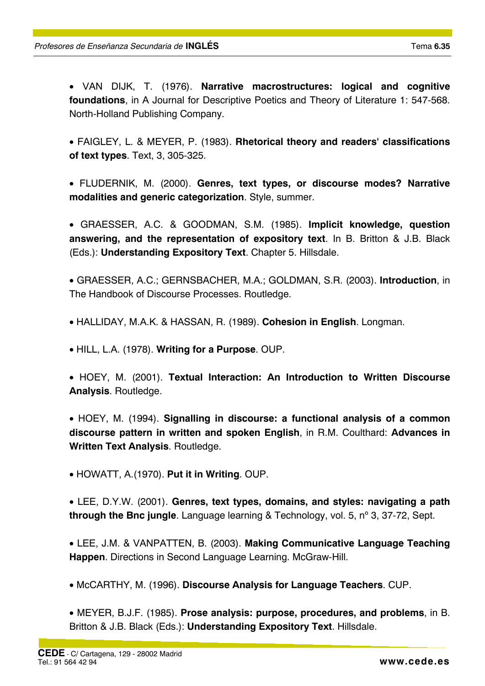• VAN DIJK, T. (1976). **Narrative macrostructures: logical and cognitive foundations**, in A Journal for Descriptive Poetics and Theory of Literature 1: 547-568. North-Holland Publishing Company.

• FAIGLEY, L. & MEYER, P. (1983). **Rhetorical theory and readers' classifications of text types**. Text, 3, 305-325.

• FLUDERNIK, M. (2000). **Genres, text types, or discourse modes? Narrative modalities and generic categorization**. Style, summer.

• GRAESSER, A.C. & GOODMAN, S.M. (1985). **Implicit knowledge, question answering, and the representation of expository text**. In B. Britton & J.B. Black (Eds.): **Understanding Expository Text**. Chapter 5. Hillsdale.

• GRAESSER, A.C.; GERNSBACHER, M.A.; GOLDMAN, S.R. (2003). **Introduction**, in The Handbook of Discourse Processes. Routledge.

• HALLIDAY, M.A.K. & HASSAN, R. (1989). **Cohesion in English**. Longman.

• HILL, L.A. (1978). **Writing for a Purpose**. OUP.

• HOEY, M. (2001). **Textual Interaction: An Introduction to Written Discourse Analysis**. Routledge.

• HOEY, M. (1994). **Signalling in discourse: a functional analysis of a common discourse pattern in written and spoken English**, in R.M. Coulthard: **Advances in Written Text Analysis**. Routledge.

• HOWATT, A.(1970). **Put it in Writing**. OUP.

• LEE, D.Y.W. (2001). **Genres, text types, domains, and styles: navigating a path through the Bnc jungle**. Language learning & Technology, vol. 5, nº 3, 37-72, Sept.

• LEE, J.M. & VANPATTEN, B. (2003). **Making Communicative Language Teaching Happen**. Directions in Second Language Learning. McGraw-Hill.

• McCARTHY, M. (1996). **Discourse Analysis for Language Teachers**. CUP.

• MEYER, B.J.F. (1985). **Prose analysis: purpose, procedures, and problems**, in B. Britton & J.B. Black (Eds.): **Understanding Expository Text**. Hillsdale.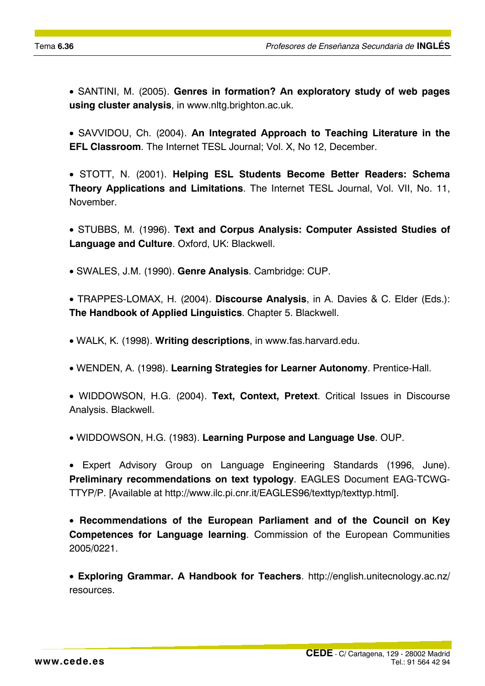• SANTINI, M. (2005). **Genres in formation? An exploratory study of web pages using cluster analysis**, in www.nltg.brighton.ac.uk.

• SAVVIDOU, Ch. (2004). **An Integrated Approach to Teaching Literature in the EFL Classroom**. The Internet TESL Journal; Vol. X, No 12, December.

• STOTT, N. (2001). **Helping ESL Students Become Better Readers: Schema Theory Applications and Limitations**. The Internet TESL Journal, Vol. VII, No. 11, November.

• STUBBS, M. (1996). **Text and Corpus Analysis: Computer Assisted Studies of Language and Culture**. Oxford, UK: Blackwell.

• SWALES, J.M. (1990). **Genre Analysis**. Cambridge: CUP.

• TRAPPES-LOMAX, H. (2004). **Discourse Analysis**, in A. Davies & C. Elder (Eds.): **The Handbook of Applied Linguistics**. Chapter 5. Blackwell.

• WALK, K. (1998). **Writing descriptions**, in www.fas.harvard.edu.

• WENDEN, A. (1998). **Learning Strategies for Learner Autonomy**. Prentice-Hall.

• WIDDOWSON, H.G. (2004). **Text, Context, Pretext**. Critical Issues in Discourse Analysis. Blackwell.

• WIDDOWSON, H.G. (1983). **Learning Purpose and Language Use**. OUP.

• Expert Advisory Group on Language Engineering Standards (1996, June). **Preliminary recommendations on text typology**. EAGLES Document EAG-TCWG-TTYP/P. [Available at http://www.ilc.pi.cnr.it/EAGLES96/texttyp/texttyp.html].

• **Recommendations of the European Parliament and of the Council on Key Competences for Language learning**. Commission of the European Communities 2005/0221.

• **Exploring Grammar. A Handbook for Teachers**. http://english.unitecnology.ac.nz/ resources.